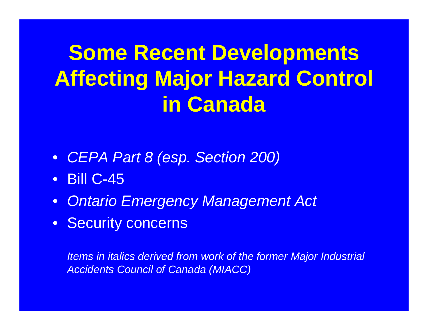# **Some Recent Developments Affecting Major Hazard Control in Canada**

- *CEPA Part 8 (esp. Section 200)*
- Bill C-45
- *Ontario Emergency Management Act*
- Security concerns

*Items in italics derived from work of the former Major Industrial Accidents Council of Canada (MIACC)*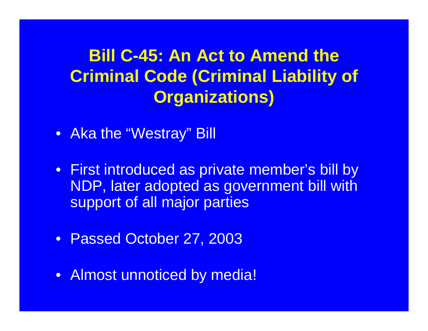## **Bill C-45: An Act to Amend the Criminal Code (Criminal Liability of Organizations)**

- Aka the "Westray" Bill
- First introduced as private member's bill by NDP, later adopted as government bill with support of all major parties
- Passed October 27, 2003
- Almost unnoticed by media!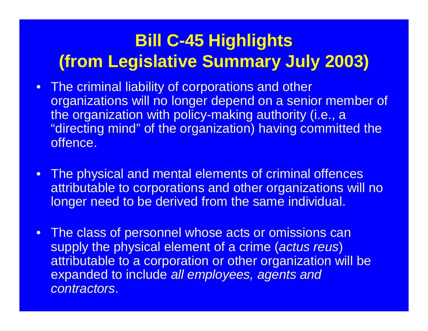### **Bill C-45 Highlights (from Legislative Summary July 2003)**

- The criminal liability of corporations and other organizations will no longer depend on a senior member of the organization with policy-making authority (i.e., a "directing mind" of the organization) having committed the offence.
- The physical and mental elements of criminal offences attributable to corporations and other organizations will no longer need to be derived from the same individual.
- The class of personnel whose acts or omissions can supply the physical element of a crime (*actus reus*) attributable to a corporation or other organization will be expanded to include *all employees, agents and contractors*.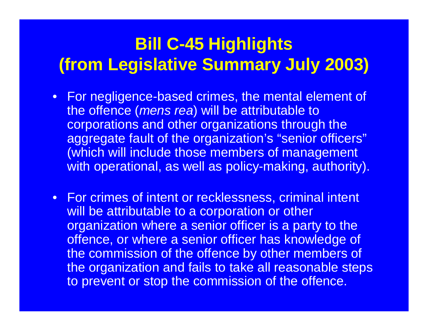### **Bill C-45 Highlights (from Legislative Summary July 2003)**

- For negligence-based crimes, the mental element of the offence (*mens rea*) will be attributable to corporations and other organizations through the aggregate fault of the organization's "senior officers" (which will include those members of management with operational, as well as policy-making, authority).
- For crimes of intent or recklessness, criminal intent will be attributable to a corporation or other organization where a senior officer is a party to the offence, or where a senior officer has knowledge of the commission of the offence by other members of the organization and fails to take all reasonable steps to prevent or stop the commission of the offence.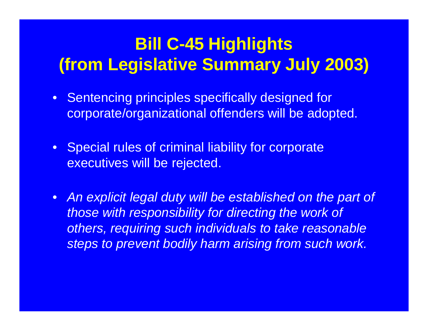### **Bill C-45 Highlights (from Legislative Summary July 2003)**

- Sentencing principles specifically designed for corporate/organizational offenders will be adopted.
- Special rules of criminal liability for corporate executives will be rejected.
- *An explicit legal duty will be established on the part of those with responsibility for directing the work of others, requiring such individuals to take reasonable steps to prevent bodily harm arising from such work.*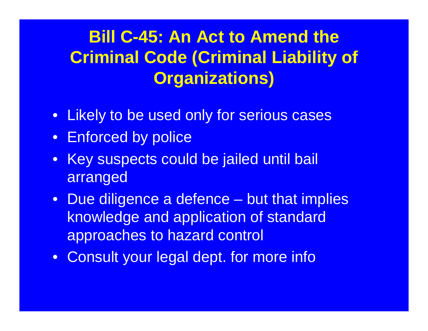## **Bill C-45: An Act to Amend the Criminal Code (Criminal Liability of Organizations)**

- Likely to be used only for serious cases
- Enforced by police
- Key suspects could be jailed until bail arranged
- Due diligence a defence but that implies knowledge and application of standard approaches to hazard control
- Consult your legal dept. for more info